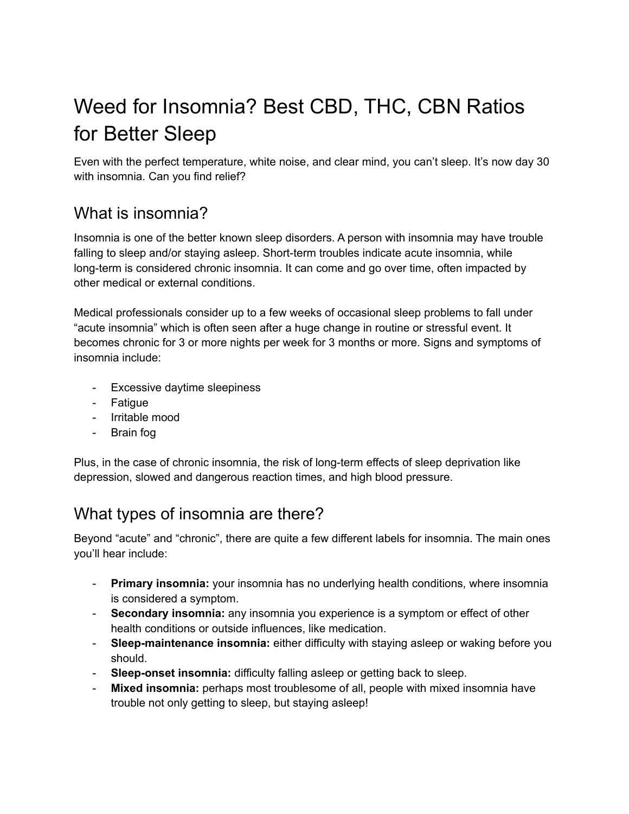# Weed for Insomnia? Best CBD, THC, CBN Ratios for Better Sleep

Even with the perfect temperature, white noise, and clear mind, you can't sleep. It's now day 30 with insomnia. Can you find relief?

## What is insomnia?

Insomnia is one of the better known sleep disorders. A person with insomnia may have trouble falling to sleep and/or staying asleep. Short-term troubles indicate acute insomnia, while long-term is considered chronic insomnia. It can come and go over time, often impacted by other medical or external conditions.

Medical professionals consider up to a few weeks of occasional sleep problems to fall under "acute insomnia" which is often seen after a huge change in routine or stressful event. It becomes chronic for 3 or more nights per week for 3 months or more. Signs and symptoms of insomnia include:

- Excessive daytime sleepiness
- Fatigue
- Irritable mood
- Brain fog

Plus, in the case of chronic insomnia, the risk of long-term effects of sleep deprivation like depression, slowed and dangerous reaction times, and high blood pressure.

# What types of insomnia are there?

Beyond "acute" and "chronic", there are quite a few different labels for insomnia. The main ones you'll hear include:

- **Primary insomnia:** your insomnia has no underlying health conditions, where insomnia is considered a symptom.
- **Secondary insomnia:** any insomnia you experience is a symptom or effect of other health conditions or outside influences, like medication.
- **Sleep-maintenance insomnia:** either difficulty with staying asleep or waking before you should.
- **Sleep-onset insomnia:** difficulty falling asleep or getting back to sleep.
- **Mixed insomnia:** perhaps most troublesome of all, people with mixed insomnia have trouble not only getting to sleep, but staying asleep!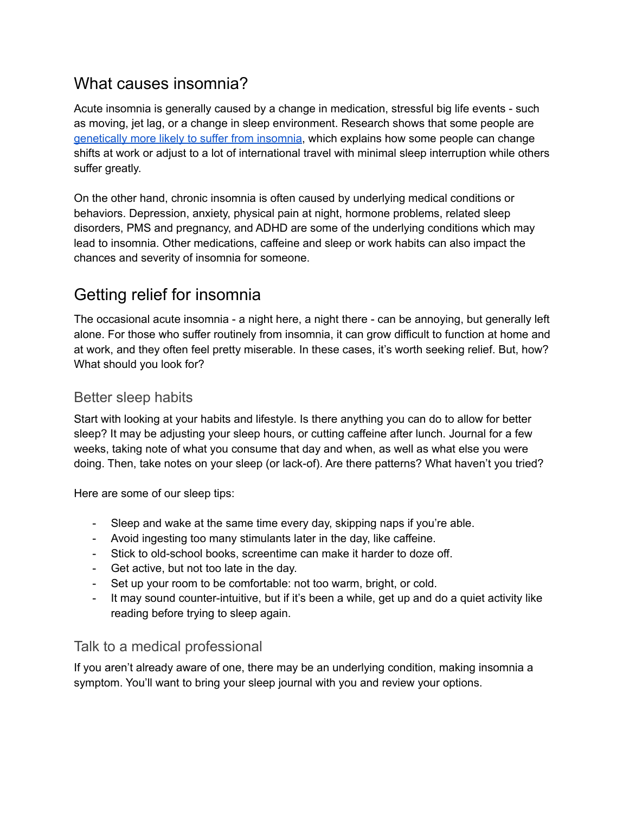## What causes insomnia?

Acute insomnia is generally caused by a change in medication, stressful big life events - such as moving, jet lag, or a change in sleep environment. Research shows that some people are [genetically](https://pubmed.ncbi.nlm.nih.gov/24072990/) more likely to suffer from insomnia, which explains how some people can change shifts at work or adjust to a lot of international travel with minimal sleep interruption while others suffer greatly.

On the other hand, chronic insomnia is often caused by underlying medical conditions or behaviors. Depression, anxiety, physical pain at night, hormone problems, related sleep disorders, PMS and pregnancy, and ADHD are some of the underlying conditions which may lead to insomnia. Other medications, caffeine and sleep or work habits can also impact the chances and severity of insomnia for someone.

# Getting relief for insomnia

The occasional acute insomnia - a night here, a night there - can be annoying, but generally left alone. For those who suffer routinely from insomnia, it can grow difficult to function at home and at work, and they often feel pretty miserable. In these cases, it's worth seeking relief. But, how? What should you look for?

### Better sleep habits

Start with looking at your habits and lifestyle. Is there anything you can do to allow for better sleep? It may be adjusting your sleep hours, or cutting caffeine after lunch. Journal for a few weeks, taking note of what you consume that day and when, as well as what else you were doing. Then, take notes on your sleep (or lack-of). Are there patterns? What haven't you tried?

Here are some of our sleep tips:

- Sleep and wake at the same time every day, skipping naps if you're able.
- Avoid ingesting too many stimulants later in the day, like caffeine.
- Stick to old-school books, screentime can make it harder to doze off.
- Get active, but not too late in the day.
- Set up your room to be comfortable: not too warm, bright, or cold.
- It may sound counter-intuitive, but if it's been a while, get up and do a quiet activity like reading before trying to sleep again.

#### Talk to a medical professional

If you aren't already aware of one, there may be an underlying condition, making insomnia a symptom. You'll want to bring your sleep journal with you and review your options.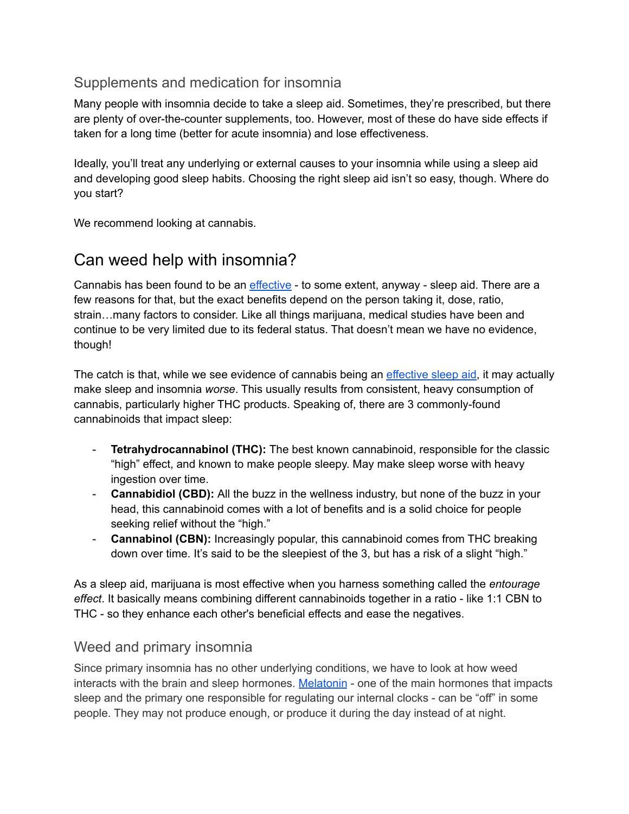### Supplements and medication for insomnia

Many people with insomnia decide to take a sleep aid. Sometimes, they're prescribed, but there are plenty of over-the-counter supplements, too. However, most of these do have side effects if taken for a long time (better for acute insomnia) and lose effectiveness.

Ideally, you'll treat any underlying or external causes to your insomnia while using a sleep aid and developing good sleep habits. Choosing the right sleep aid isn't so easy, though. Where do you start?

We recommend looking at cannabis.

### Can weed help with insomnia?

Cannabis has been found to be an [effective](https://pubmed.ncbi.nlm.nih.gov/34115851/) - to some extent, anyway - sleep aid. There are a few reasons for that, but the exact benefits depend on the person taking it, dose, ratio, strain…many factors to consider. Like all things marijuana, medical studies have been and continue to be very limited due to its federal status. That doesn't mean we have no evidence, though!

The catch is that, while we see evidence of cannabis being an [effective](https://doi.org/10.1007/s11920-017-0775-9) sleep aid, it may actually make sleep and insomnia *worse*. This usually results from consistent, heavy consumption of cannabis, particularly higher THC products. Speaking of, there are 3 commonly-found cannabinoids that impact sleep:

- **Tetrahydrocannabinol (THC):** The best known cannabinoid, responsible for the classic "high" effect, and known to make people sleepy. May make sleep worse with heavy ingestion over time.
- **Cannabidiol (CBD):** All the buzz in the wellness industry, but none of the buzz in your head, this cannabinoid comes with a lot of benefits and is a solid choice for people seeking relief without the "high."
- **Cannabinol (CBN):** Increasingly popular, this cannabinoid comes from THC breaking down over time. It's said to be the sleepiest of the 3, but has a risk of a slight "high."

As a sleep aid, marijuana is most effective when you harness something called the *entourage effect*. It basically means combining different cannabinoids together in a ratio - like 1:1 CBN to THC - so they enhance each other's beneficial effects and ease the negatives.

#### Weed and primary insomnia

Since primary insomnia has no other underlying conditions, we have to look at how weed interacts with the brain and sleep hormones. [Melatonin](https://pantryfoodco.com/blogs/news/melatonin-to-reset-sleep-cycle-optimize-your-circadian-rhythm) - one of the main hormones that impacts sleep and the primary one responsible for regulating our internal clocks - can be "off" in some people. They may not produce enough, or produce it during the day instead of at night.